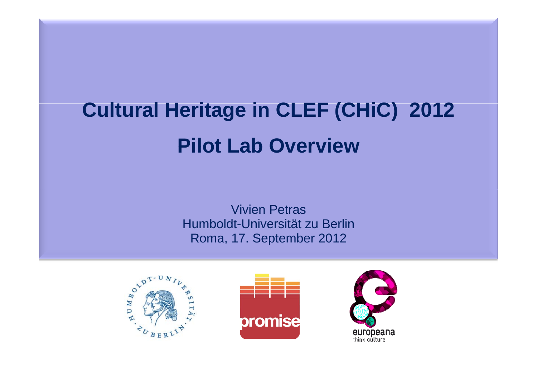# **Cultural Heritage in CLEF (CHiC) 2012 Pilot Lab Overview**

**Vivien Petras** Humboldt-Universität zu Berlin Roma, 17. September 2012



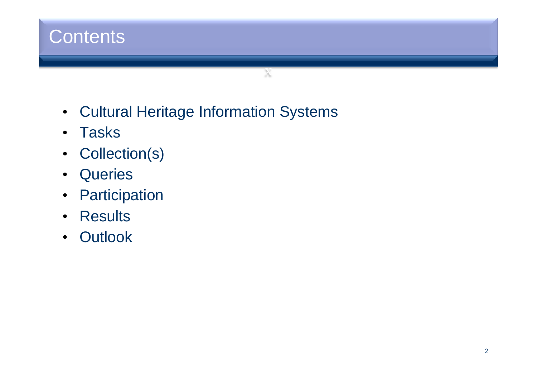

- Cultural Heritage Information Systems
- Tasks
- Collection(s)
- Queries
- Participation
- Results
- Outlook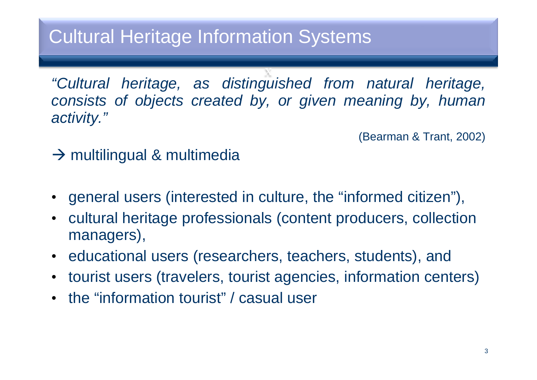### Cultural Heritage Information Systems

*"Cultural heritage, as distinguished from natural heritage, consists of objects created by, or given meaning by, human activity."*

x

(Bearman & Trant, 2002)

### $\rightarrow$  multilingual & multimedia

- general users (interested in culture, the "informed citizen"),
- $\bullet$  cultural heritage professionals (content producers, collection managers),
- educational users (researchers, teachers, students), and
- tourist users (travelers, tourist agencies, information centers)
- the "information tourist" / casual user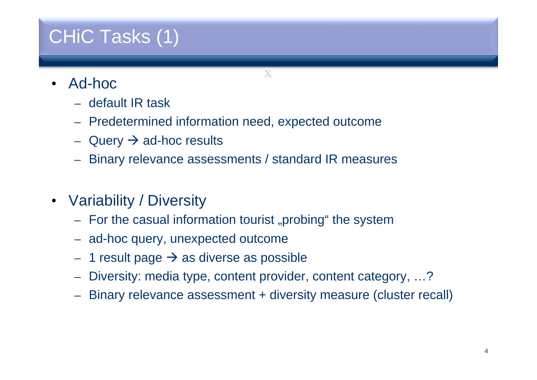## CHiC Tasks (1)

- • Ad-hoc
	- default IR task
	- Predetermined information need, expected outcome
	- $-$  Query  $\rightarrow$  ad-hoc results
	- Binary relevance assessments / standard IR measures
- Variability / Diversity
	- For the casual information tourist "probing" the system
	- ad-hoc query, unexpected outcome
	- –1 result page  $\rightarrow$  as diverse as possible
	- Diversity: media type, content provider, content category, …?
	- Binary relevance assessment + diversity measure (cluster recall)

x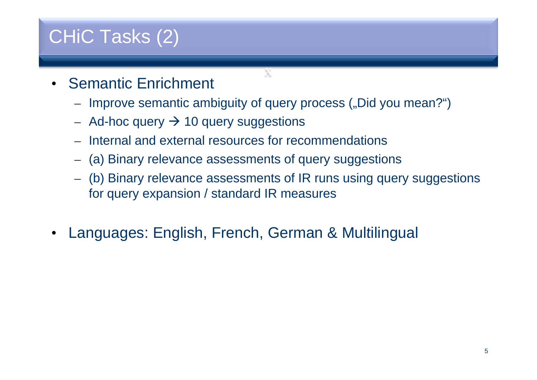## CHiC Tasks (2)

- Semantic Enrichment
	- Improve semantic ambiguity of query process ("Did you mean?")

x

- $-$  Ad-hoc query  $\bm{\rightarrow}$  10 query suggestions
- Internal and external resources for recommendations
- (a) Binary relevance assessments of query suggestions
- – (b) Binary relevance assessments of IR runs using query suggestions for query expansion / standard IR measures
- •Languages: English, French, German & Multilingual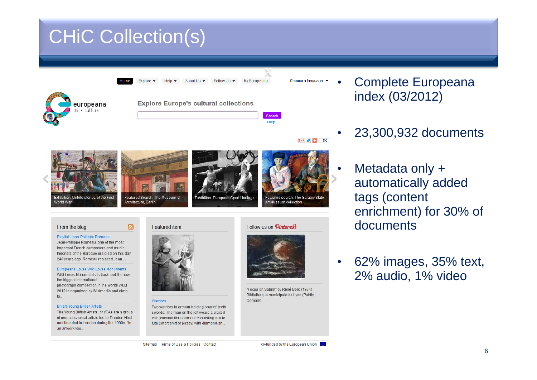### CHiC Collection(s)



co-funded by the European Union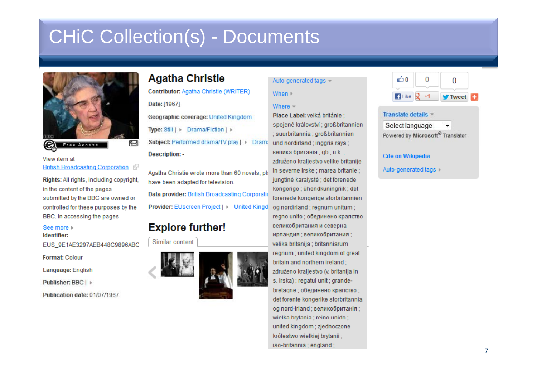### **CHIC Collection(s) - Documents**



#### View item at British Broadcasting Corporation

Rights: All rights, including copyright, in the content of the pages submitted by the BBC are owned or controlled for these purposes by the BBC. In accessing the pages

#### See more

Identifier:

EUS 9E1AE3297AEB448C9896ABC

**Format: Colour** 

Language: English

Publisher: BBC | ▶

Publication date: 01/07/1967

### **Agatha Christie**

Contributor: Agatha Christie (WRITER)

Date: [1967]

Geographic coverage: United Kingdom

Type: Still | Drama/Fiction | |

Subject: Performed drama/TV play | | Drama **Description: -**

Agatha Christie wrote more than 60 novels, pla have been adapted for television. Data provider: British Broadcasting Corporatio Provider: EUscreen Project | | United Kingd

### **Explore further!**

#### Similar content



#### Auto-generated tags

#### When I

#### Where  $=$

Place Label: velká británie : spojené království : großbritannien ; suurbritannia ; großbritannien und nordirland ; inggris raya ; велика британія : ab : u.k. : združeno kraliestvo velike britanije in severne irske : marea britanie : jungtinė karalystė; det forenede kongerige : ühendkuningriik : det forenede kongerige storbritannien og nordirland : regnum unitum : regno unito; обединено кралство великобритания и северна ирландия; великобритания; velika britanija : britanniarum regnum ; united kingdom of great britain and northern ireland: združeno kraljestvo (v. britanija in s. irska); regatul unit; grandebretagne ; обединено кралство ; det forente kongerike storbritannia og nord-irland ; великобританія ; wielka brytania : reino unido : united kingdom ; zjednoczone królestwo wielkiej brytanii: iso-britannia; england;



#### Translate details

Select language Powered by Microsoft® Translator

#### **Cite on Wikipedia**

Auto-generated tags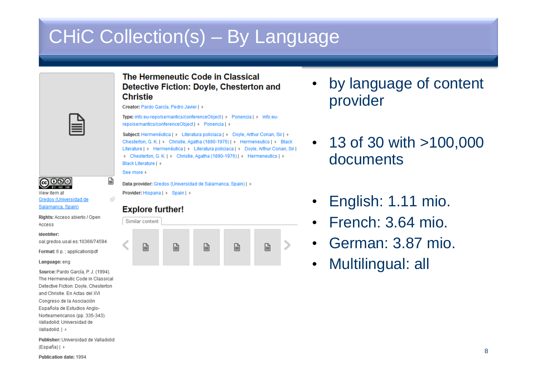## CHiC Collection(s) – By Language

#### The Hermeneutic Code in Classical Detective Fiction: Dovle, Chesterton and **Christie**

Creator: Pardo García, Pedro Javier | ▶

Type: info:eu-repo/semantics/conferenceObject | | Ponencia | | info:eurepo/semantics/conferenceObject | | Ponencia | |

Subject: Hermenéutica | | Literatura policiaca | | Doyle, Arthur Conan, Sir | | | Chesterton, G. K. | | Christie, Agatha (1890-1976) | | Hermeneutics | | Black Literature | | Hermenéutica | | Literatura policiaca | | Doyle, Arthur Conan, Sir | Chesterton, G. K. | Christie, Agatha (1890-1976) | Hermeneutics | D Black Literature | ▶

See more

€

rå.

Data provider: Gredos (Universidad de Salamanca, Spain) | | Provider: Hispana | | Spain | |

### **Explore further!**

| Similar content |   |   |   |   |   |  |
|-----------------|---|---|---|---|---|--|
|                 | ═ | ≡ | ⊫ | ≡ | _ |  |

- • by language of content provider
- $\cdot$  13 of 30 with  $>$ 100,000 documents
- •English: 1.11 mio.
- $\bullet$ French: 3.64 mio.
- •German: 3.87 mio.
- •Multilingual: all

**@** 0මම View item at

Gredos (Universidad de Salamanca, Spain)

Rights: Acceso abierto / Open Access

#### Identifier:

oai:gredos.usal.es:10366/74594

Format: 6 p.; application/pdf

#### Language: eng

Source: Pardo García, P. J. (1994). The Hermeneutic Code in Classical Detective Fiction: Doyle, Chesterton and Christie. En Actas del XVI Congreso de la Asociación Española de Estudios Anglo-Norteamericanos (pp. 335-343). Valladolid: Universidad de Valladolid, I

Publisher: Universidad de Valladolid  $(España)$ 

**Publication date: 1994**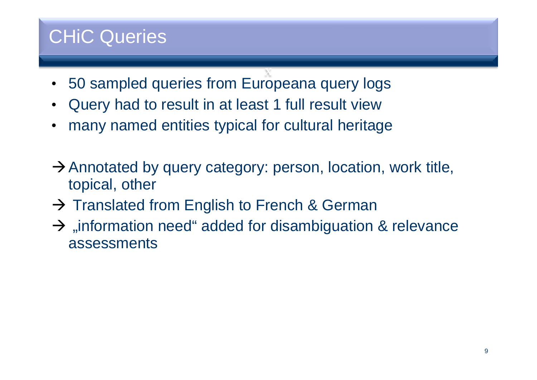### CHiC Queries

- x•50 sampled queries from Europeana query logs
- $\bullet$ Query had to result in at least 1 full result view
- •many named entities typical for cultural heritage
- $\rightarrow$  Annotated by query category: person, location, work title, topical, other
- $\rightarrow$  Translated from English to French & German
- $\rightarrow$  "information need" added for disambiguation & relevance assessments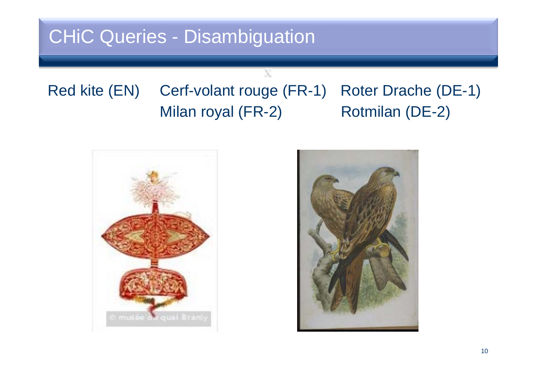### CHiC Queries - Disambiguation

### Red kite (EN) Cerf-volant rouge (FR-1) Roter Drache (DE-1) Milan royal (FR-2) Rotmilan (DE-2)

x



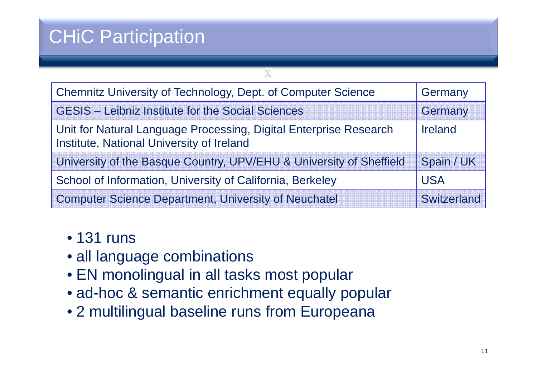## CHiC Participation

| Chemnitz University of Technology, Dept. of Computer Science                                                   | Germany            |
|----------------------------------------------------------------------------------------------------------------|--------------------|
| <b>GESIS - Leibniz Institute for the Social Sciences</b>                                                       | Germany            |
| Unit for Natural Language Processing, Digital Enterprise Research<br>Institute, National University of Ireland | Ireland            |
| University of the Basque Country, UPV/EHU & University of Sheffield                                            | Spain / UK         |
| School of Information, University of California, Berkeley                                                      | <b>USA</b>         |
| <b>Computer Science Department, University of Neuchatel</b>                                                    | <b>Switzerland</b> |

x

### • 131 runs

- all language combinations
- EN monolingual in all tasks most popular
- ad-hoc & semantic enrichment equally popular
- 2 multilingual baseline runs from Europeana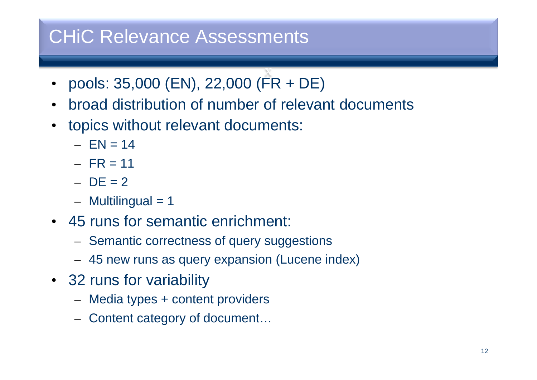### CHiC Relevance Assessments

- x• pools: 35,000 (EN), 22,000 (FR + DE)
- $\bullet$ broad distribution of number of relevant documents
- topics without relevant documents:
	- EN= 14
	- FR = 11
	- DE = 2
	- Multilingual = 1
- 45 runs for semantic enrichment:
	- Semantic correctness of query suggestions
	- 45 new runs as query expansion (Lucene index)
- 32 runs for variability
	- Media types + content providers
	- Content category of document...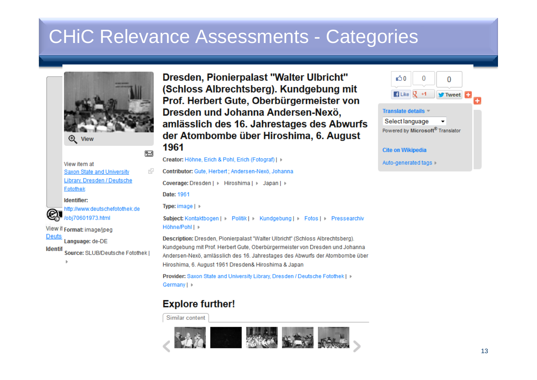### **CHIC Relevance Assessments - Categories**



ஊ

ार्देल

 $\bigoplus$  View

View item at Saxon State and University Library, Dresden / Deutsche Fotothek

Identifier:



**Deuts** 

http://www.deutschefotothek.de /obi70601973.html

View it Format: image/ipeg

Language: de-DE

**Identif** Source: SLUB/Deutsche Fotothek Dresden, Pionierpalast "Walter Ulbricht" (Schloss Albrechtsberg). Kundgebung mit Prof. Herbert Gute, Oberbürgermeister von Dresden und Johanna Andersen-Nexö, amlässlich des 16. Jahrestages des Abwurfs der Atombombe über Hiroshima, 6. August 1961

Creator: Höhne, Erich & Pohl, Erich (Fotograf) | ▶ Contributor: Gute, Herbert ; Andersen-Nexö, Johanna Coverage: Dresden | | Hiroshima | | Japan | | Date: 1961 Type: image | > Höhne/Pohl | ▶ Description: Dresden, Pionierpalast "Walter Ulbricht" (Schloss Albrechtsberg), Kundgebung mit Prof. Herbert Gute, Oberbürgermeister von Dresden und Johanna Andersen-Nexö, amlässlich des 16. Jahrestages des Abwurfs der Atombombe über Hiroshima, 6, August 1961 Dresden& Hiroshima & Japan

Provider: Saxon State and University Library, Dresden / Deutsche Fotothek I » Germany | »

### **Explore further!**

Similar content



«ጎ 0  $\overline{0}$  $\blacksquare$  Like  $\lightharpoonup$   $\lightharpoonup$  $+1$ **W** Tweet **Translate details** Select language Powered by Microsoft® Translator **Cite on Wikipedia** Auto-generated tags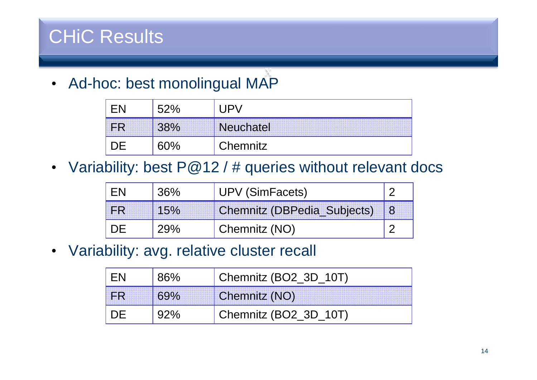## CHiC Results

x• Ad-hoc: best monolingual MAP

|         | ∽ |                  |
|---------|---|------------------|
| <b></b> |   | <b>Neuchatel</b> |
|         |   | Chemnitz         |

• Variability: best P@12 / # queries without relevant docs

| $36\%$ | <b>UPV (SimFacets)</b>             |  |
|--------|------------------------------------|--|
|        | <b>Chemnitz (DBPedia_Subjects)</b> |  |
| 29%    | Chemnitz (NO)                      |  |

• Variability: avg. relative cluster recall

| <b>96%</b> | Chemnitz (BO2_3D_10T) |
|------------|-----------------------|
|            | Chemnitz (NO)         |
|            | Chemnitz (BO2_3D_10T) |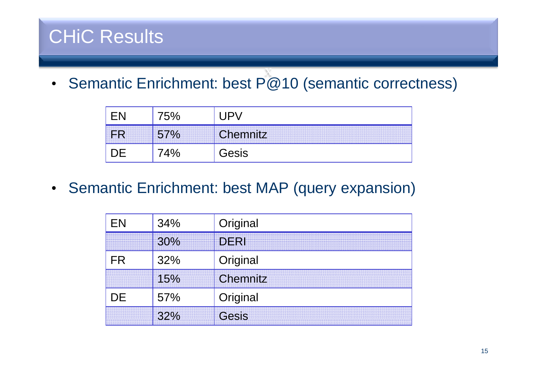## CHiC Results

x • Semantic Enrichment: best P@10 (semantic correctness)

| O | Chemnitz / |
|---|------------|
|   | Gesis      |

• Semantic Enrichment: best MAP (query expansion)

| 34%         | Original |
|-------------|----------|
| <br><br>30% | DERI     |
| 32%         | Original |
| 15%         | Chemnitz |
| 57%         | Original |
| 32%         | Gesis    |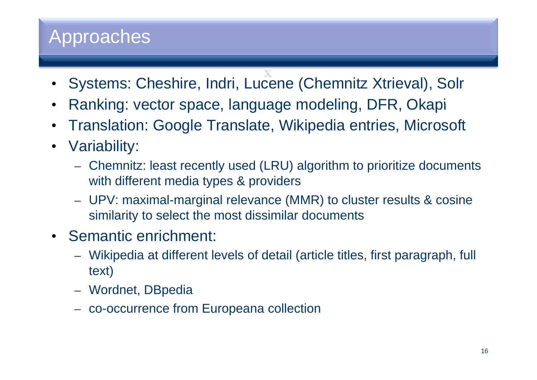### Approaches

- x Systems: Cheshire, Indri, Lucene (Chemnitz Xtrieval), Solr •
- $\bullet$ Ranking: vector space, language modeling, DFR, Okapi
- $\bullet$ Translation: Google Translate, Wikipedia entries, Microsoft
- $\bullet$  Variability:
	- Chemnitz: least recently used (LRU) algorithm to prioritize documents with different media types & providers
	- UPV: maximal-marginal relevance (MMR) to cluster results & cosine similarity to select the most dissimilar documents
- Semantic enrichment:
	- Wikipedia at different levels of detail (article titles, first paragraph, full text)
	- Wordnet, DBpedia
	- co-occurrence from Europeana collection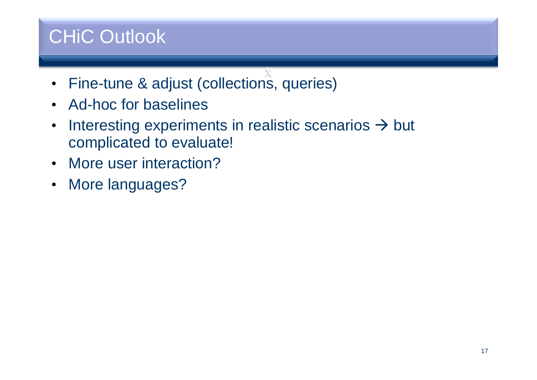## CHiC Outlook

- x• Fine-tune & adjust (collections, queries)
- Ad-hoc for baselines
- $\bullet$ Interesting experiments in realistic scenarios  $\rightarrow$  but complicated to evaluate!
- More user interaction?
- More languages?